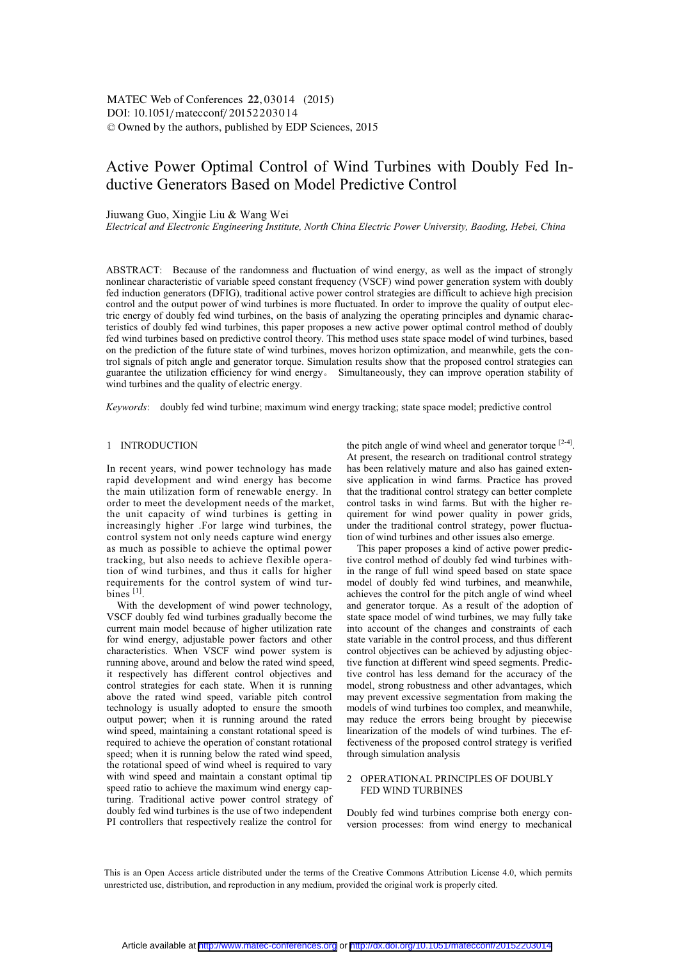# Active Power Optimal Control of Wind Turbines with Doubly Fed Inductive Generators Based on Model Predictive Control

# Jiuwang Guo, Xingjie Liu & Wang Wei

*Electrical and Electronic Engineering Institute, North China Electric Power University, Baoding, Hebei, China* 

ABSTRACT: Because of the randomness and fluctuation of wind energy, as well as the impact of strongly nonlinear characteristic of variable speed constant frequency (VSCF) wind power generation system with doubly fed induction generators (DFIG), traditional active power control strategies are difficult to achieve high precision control and the output power of wind turbines is more fluctuated. In order to improve the quality of output electric energy of doubly fed wind turbines, on the basis of analyzing the operating principles and dynamic characteristics of doubly fed wind turbines, this paper proposes a new active power optimal control method of doubly fed wind turbines based on predictive control theory. This method uses state space model of wind turbines, based on the prediction of the future state of wind turbines, moves horizon optimization, and meanwhile, gets the control signals of pitch angle and generator torque. Simulation results show that the proposed control strategies can guarantee the utilization efficiency for wind energy. Simultaneously, they can improve operation stability of wind turbines and the quality of electric energy.

*Keywords*: doubly fed wind turbine; maximum wind energy tracking; state space model; predictive control

# 1 INTRODUCTION

In recent years, wind power technology has made rapid development and wind energy has become the main utilization form of renewable energy. In order to meet the development needs of the market, the unit capacity of wind turbines is getting in increasingly higher .For large wind turbines, the control system not only needs capture wind energy as much as possible to achieve the optimal power tracking, but also needs to achieve flexible operation of wind turbines, and thus it calls for higher requirements for the control system of wind turbines<sup>[1]</sup>

With the development of wind power technology, VSCF doubly fed wind turbines gradually become the current main model because of higher utilization rate for wind energy, adjustable power factors and other characteristics. When VSCF wind power system is running above, around and below the rated wind speed, it respectively has different control objectives and control strategies for each state. When it is running above the rated wind speed, variable pitch control technology is usually adopted to ensure the smooth output power; when it is running around the rated wind speed, maintaining a constant rotational speed is required to achieve the operation of constant rotational speed; when it is running below the rated wind speed, the rotational speed of wind wheel is required to vary with wind speed and maintain a constant optimal tip speed ratio to achieve the maximum wind energy capturing. Traditional active power control strategy of doubly fed wind turbines is the use of two independent PI controllers that respectively realize the control for

the pitch angle of wind wheel and generator torque  $[2-4]$ . At present, the research on traditional control strategy has been relatively mature and also has gained extensive application in wind farms. Practice has proved that the traditional control strategy can better complete control tasks in wind farms. But with the higher requirement for wind power quality in power grids, under the traditional control strategy, power fluctuation of wind turbines and other issues also emerge.

This paper proposes a kind of active power predictive control method of doubly fed wind turbines within the range of full wind speed based on state space model of doubly fed wind turbines, and meanwhile, achieves the control for the pitch angle of wind wheel and generator torque. As a result of the adoption of state space model of wind turbines, we may fully take into account of the changes and constraints of each state variable in the control process, and thus different control objectives can be achieved by adjusting objective function at different wind speed segments. Predictive control has less demand for the accuracy of the model, strong robustness and other advantages, which may prevent excessive segmentation from making the models of wind turbines too complex, and meanwhile, may reduce the errors being brought by piecewise linearization of the models of wind turbines. The effectiveness of the proposed control strategy is verified through simulation analysis

# 2 OPERATIONAL PRINCIPLES OF DOUBLY FED WIND TURBINES

Doubly fed wind turbines comprise both energy conversion processes: from wind energy to mechanical

This is an Open Access article distributed under the terms of the Creative Commons Attribution License 4.0, which permits unrestricted use, distribution, and reproduction in any medium, provided the original work is properly cited.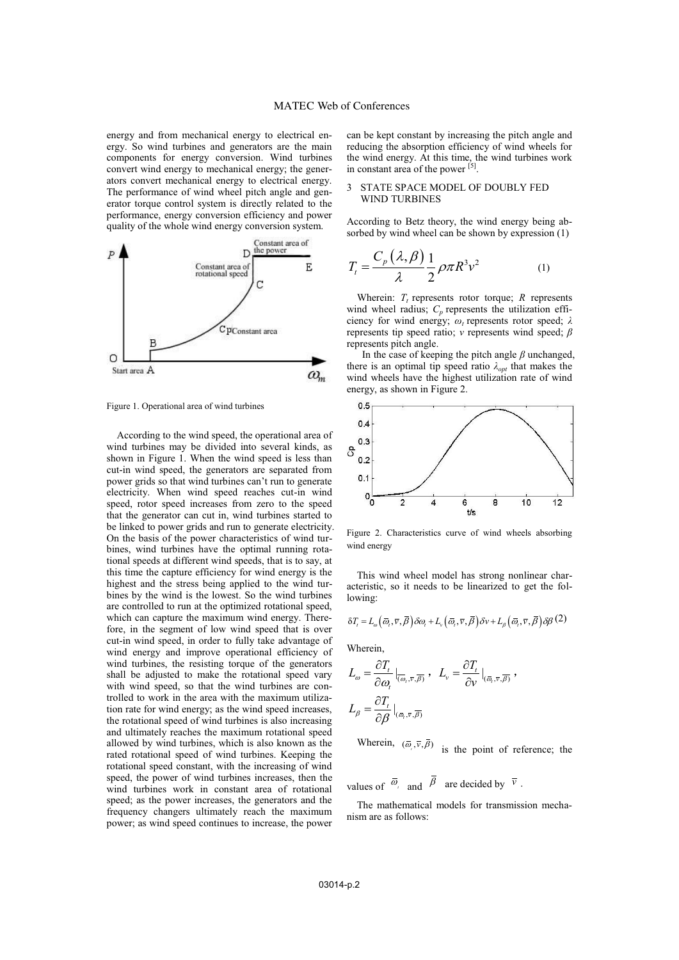energy and from mechanical energy to electrical energy. So wind turbines and generators are the main components for energy conversion. Wind turbines convert wind energy to mechanical energy; the generators convert mechanical energy to electrical energy. The performance of wind wheel pitch angle and generator torque control system is directly related to the performance, energy conversion efficiency and power quality of the whole wind energy conversion system.



Figure 1. Operational area of wind turbines

According to the wind speed, the operational area of wind turbines may be divided into several kinds, as shown in Figure 1. When the wind speed is less than cut-in wind speed, the generators are separated from power grids so that wind turbines can't run to generate electricity. When wind speed reaches cut-in wind speed, rotor speed increases from zero to the speed that the generator can cut in, wind turbines started to be linked to power grids and run to generate electricity. On the basis of the power characteristics of wind turbines, wind turbines have the optimal running rotational speeds at different wind speeds, that is to say, at this time the capture efficiency for wind energy is the highest and the stress being applied to the wind turbines by the wind is the lowest. So the wind turbines are controlled to run at the optimized rotational speed, which can capture the maximum wind energy. Therefore, in the segment of low wind speed that is over cut-in wind speed, in order to fully take advantage of wind energy and improve operational efficiency of wind turbines, the resisting torque of the generators shall be adjusted to make the rotational speed vary with wind speed, so that the wind turbines are controlled to work in the area with the maximum utilization rate for wind energy; as the wind speed increases, the rotational speed of wind turbines is also increasing and ultimately reaches the maximum rotational speed allowed by wind turbines, which is also known as the rated rotational speed of wind turbines. Keeping the rotational speed constant, with the increasing of wind speed, the power of wind turbines increases, then the wind turbines work in constant area of rotational speed; as the power increases, the generators and the frequency changers ultimately reach the maximum power; as wind speed continues to increase, the power

can be kept constant by increasing the pitch angle and reducing the absorption efficiency of wind wheels for the wind energy. At this time, the wind turbines work in constant area of the power  $^{[5]}$ .

#### 3 STATE SPACE MODEL OF DOUBLY FED WIND TURBINES

According to Betz theory, the wind energy being absorbed by wind wheel can be shown by expression (1)

$$
T_t = \frac{C_p(\lambda, \beta)}{\lambda} \frac{1}{2} \rho \pi R^3 v^2 \tag{1}
$$

Wherein:  $T_t$  represents rotor torque;  $R$  represents wind wheel radius;  $C_p$  represents the utilization efficiency for wind energy; *ω<sup>t</sup>* represents rotor speed; *λ*  represents tip speed ratio; *v* represents wind speed; *β*  represents pitch angle.

 In the case of keeping the pitch angle *β* unchanged, there is an optimal tip speed ratio  $\lambda_{opt}$  that makes the wind wheels have the highest utilization rate of wind energy, as shown in Figure 2.



Figure 2. Characteristics curve of wind wheels absorbing wind energy

This wind wheel model has strong nonlinear characteristic, so it needs to be linearized to get the following:

$$
\delta T_{i} = L_{\omega} \left( \overline{\omega}_{i}, \overline{\nu}, \overline{\beta} \right) \delta \omega_{i} + L_{\nu} \left( \overline{\omega}_{i}, \overline{\nu}, \overline{\beta} \right) \delta \nu + L_{\beta} \left( \overline{\omega}_{i}, \overline{\nu}, \overline{\beta} \right) \delta \beta (2)
$$

Wherein,

$$
L_{\omega} = \frac{\partial T_{t}}{\partial \omega_{t}}|_{(\overline{\omega}_{t}, \overline{v}, \overline{\beta})}, \quad L_{v} = \frac{\partial T_{t}}{\partial v}|_{(\overline{\omega}_{t}, \overline{v}, \overline{\beta})},
$$

$$
L_{\beta} = \frac{\partial T_{t}}{\partial \beta}|_{(\overline{\omega}_{t}, \overline{v}, \overline{\beta})}
$$

Wherein,  $(\bar{\omega}, \bar{v}, \bar{\beta})$  is the point of reference; the

values of  $\overline{\omega}_i$  and  $\overline{\beta}$  are decided by  $\overline{v}$ .

The mathematical models for transmission mechanism are as follows: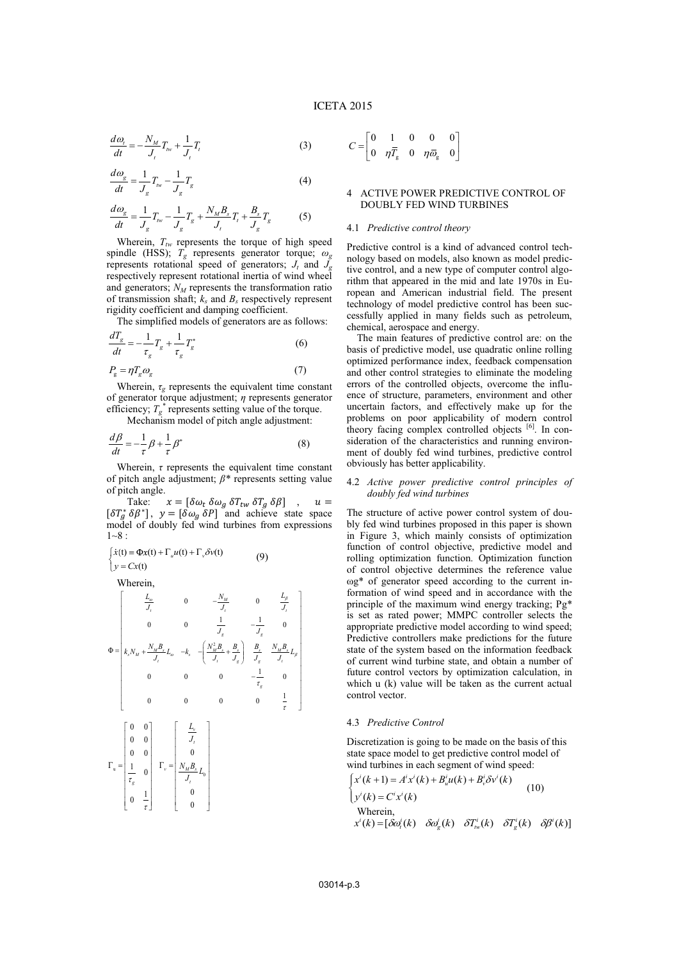$$
\frac{d\omega_t}{dt} = -\frac{N_M}{J_t}T_{tw} + \frac{1}{J_t}T_t
$$
\n(3)

$$
\frac{d\omega_{\rm g}}{dt} = \frac{1}{J_{\rm g}} T_{\rm fw} - \frac{1}{J_{\rm g}} T_{\rm g} \tag{4}
$$

$$
\frac{d\omega_{g}}{dt} = \frac{1}{J_{g}}T_{\nu\nu} - \frac{1}{J_{g}}T_{g} + \frac{N_{M}B_{s}}{J_{t}}T_{t} + \frac{B_{s}}{J_{g}}T_{g}
$$
(5)

Wherein,  $T_{tw}$  represents the torque of high speed spindle (HSS); *Tg* represents generator torque; *ω<sup>g</sup>* represents rotational speed of generators;  $J_t$  and  $\tilde{J}_g$ respectively represent rotational inertia of wind wheel and generators;  $N_M$  represents the transformation ratio of transmission shaft;  $k_s$  and  $B_s$  respectively represent rigidity coefficient and damping coefficient.

The simplified models of generators are as follows:

$$
\frac{dT_g}{dt} = -\frac{1}{\tau_g} T_g + \frac{1}{\tau_g} T_g^* \tag{6}
$$

$$
P_{\rm g} = \eta T_{\rm g} \omega_{\rm g} \tag{7}
$$

Wherein,  $\tau_{\varphi}$  represents the equivalent time constant of generator torque adjustment; *η* represents generator efficiency;  $T_g^*$  represents setting value of the torque.

Mechanism model of pitch angle adjustment:

$$
\frac{d\beta}{dt} = -\frac{1}{\tau}\beta + \frac{1}{\tau}\beta^*
$$
\n(8)

Wherein,  $\tau$  represents the equivalent time constant of pitch angle adjustment; *β\** represents setting value of pitch angle.

Take:  $x = [\delta \omega_t \ \delta \omega_g \ \delta T_{tw} \ \delta T_g \ \delta \beta]$  $u =$  $[\delta T_a^* \delta \beta^*]$ ,  $y = [\delta \omega_a \delta P]$  and achieve state space model of doubly fed wind turbines from expressions  $1 - 8$  :

$$
\begin{cases} \dot{x}(t) = \Phi x(t) + \Gamma_u u(t) + \Gamma_v \delta v(t) \\ y = Cx(t) \end{cases} \tag{9}
$$

Wherein,

$$
\Phi = \begin{bmatrix}\nI_{\omega} & 0 & -\frac{N_{M}}{J_{t}} & 0 & \frac{L_{\beta}}{J_{t}} \\
0 & 0 & \frac{1}{J_{s}} & -\frac{1}{J_{s}} & 0 \\
k_{s}N_{M} + \frac{N_{M}B_{s}}{J_{t}}L_{\omega} & -k_{s} & -\left(\frac{N_{M}^{2}B_{s}}{J_{t}} + \frac{B_{s}}{J_{s}}\right) & \frac{B_{s}}{J_{s}} & \frac{N_{M}B_{s}}{J_{t}}L_{\beta} \\
0 & 0 & 0 & 0 & -\frac{1}{\tau_{s}} & 0 \\
0 & 0 & 0 & 0 & \frac{1}{\tau}\n\end{bmatrix}
$$
\n
$$
\Gamma_{u} = \begin{bmatrix}\n0 & 0 \\
0 & 0 \\
0 & 0 \\
0 & 0 \\
\frac{1}{\tau_{s}} & 0 \\
0 & \frac{1}{\tau}\n\end{bmatrix}\n\qquad\n\Gamma_{v} = \begin{bmatrix}\n\frac{L_{v}}{J_{t}} \\
\frac{N_{M}B_{s}}{J_{t}}L_{0} \\
0 \\
0 \\
0 \\
0\n\end{bmatrix}
$$

$$
C = \begin{bmatrix} 0 & 1 & 0 & 0 & 0 \\ 0 & \eta \overline{T}_{g} & 0 & \eta \overline{\omega}_{g} & 0 \end{bmatrix}
$$

# 4 ACTIVE POWER PREDICTIVE CONTROL OF DOUBLY FED WIND TURBINES

## 4.1 *Predictive control theory*

Predictive control is a kind of advanced control technology based on models, also known as model predictive control, and a new type of computer control algorithm that appeared in the mid and late 1970s in European and American industrial field. The present technology of model predictive control has been successfully applied in many fields such as petroleum, chemical, aerospace and energy.

The main features of predictive control are: on the basis of predictive model, use quadratic online rolling optimized performance index, feedback compensation and other control strategies to eliminate the modeling errors of the controlled objects, overcome the influence of structure, parameters, environment and other uncertain factors, and effectively make up for the problems on poor applicability of modern control theory facing complex controlled objects  $[6]$ . In consideration of the characteristics and running environment of doubly fed wind turbines, predictive control obviously has better applicability.

#### 4.2 *Active power predictive control principles of doubly fed wind turbines*

The structure of active power control system of doubly fed wind turbines proposed in this paper is shown in Figure 3, which mainly consists of optimization function of control objective, predictive model and rolling optimization function. Optimization function of control objective determines the reference value ωg\* of generator speed according to the current information of wind speed and in accordance with the principle of the maximum wind energy tracking; Pg\* is set as rated power; MMPC controller selects the appropriate predictive model according to wind speed; Predictive controllers make predictions for the future state of the system based on the information feedback of current wind turbine state, and obtain a number of future control vectors by optimization calculation, in which u (k) value will be taken as the current actual control vector.

#### 4.3 *Predictive Control*

Discretization is going to be made on the basis of this state space model to get predictive control model of wind turbines in each segment of wind speed:

$$
\begin{cases}\nx'(k+1) = A'x'(k) + B'_u u(k) + B'_v \delta v'(k) \\
y'(k) = C'x'(k)\n\end{cases}
$$
\n(10)  
\nWherein,  
\n
$$
x'(k) = [\delta \omega'_k(k) \quad \delta \omega'_k(k) \quad \delta T'_w(k) \quad \delta T'_g(k) \quad \delta \beta'(k)]
$$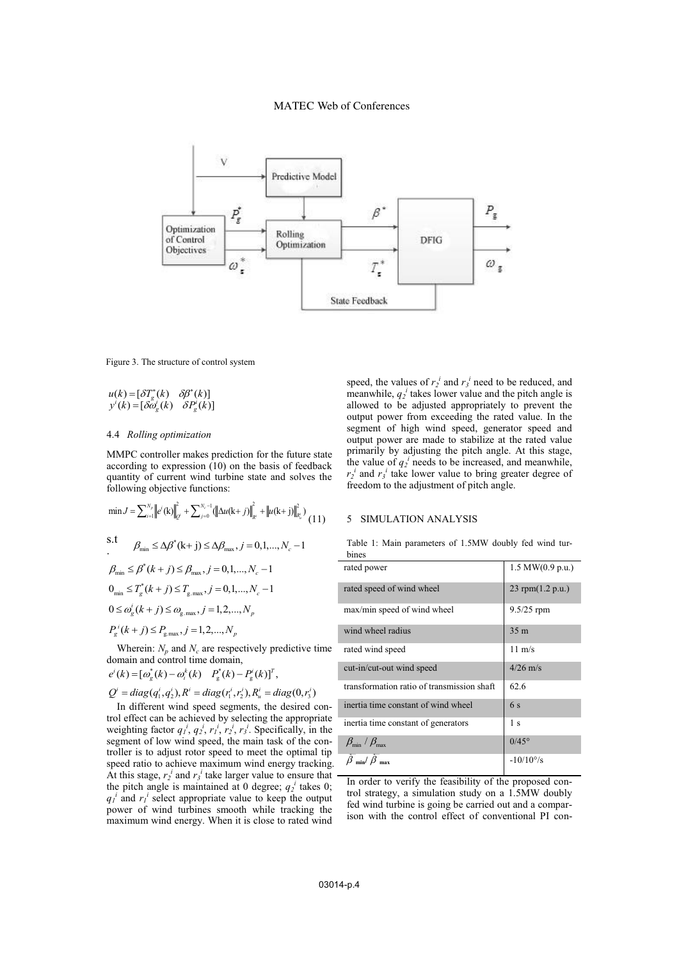# MATEC Web of Conferences



Figure 3. The structure of control system

$$
u(k) = [\delta T_g^*(k) \quad \delta \beta^*(k)]
$$
  

$$
y'(k) = [\delta \omega_g^*(k) \quad \delta P_g^*(k)]
$$

## 4.4 *Rolling optimization*

MMPC controller makes prediction for the future state according to expression (10) on the basis of feedback quantity of current wind turbine state and solves the following objective functions:

$$
\min J = \sum_{i=1}^{N_r} \left\| e^i(\mathbf{k}) \right\|_{Q}^2 + \sum_{j=0}^{N_c-1} (\left\| \Delta u(\mathbf{k} + j) \right\|_{R^i}^2 + \left\| u(\mathbf{k} + j) \right\|_{R^i}^2) \tag{11}
$$
\n
$$
\text{s.t} \qquad \beta_{\min} \le \Delta \beta^*(\mathbf{k} + j) \le \Delta \beta_{\max}, j = 0, 1, \dots, N_c - 1
$$
\n
$$
\beta_{\min} \le \beta^*(k + j) \le \beta_{\max}, j = 0, 1, \dots, N_c - 1
$$
\n
$$
0_{\min} \le T_g^*(k + j) \le T_{g,\max}, j = 0, 1, \dots, N_c - 1
$$
\n
$$
0 \le \omega_g^i(k + j) \le \omega_{g,\max}, j = 1, 2, \dots, N_p
$$
\n
$$
P_g^i(k + j) \le P_{g,\max}, j = 1, 2, \dots, N_p
$$
\nWherein:  $N_p$  and  $N_c$  are respectively predictive time

domain and control time domain,

$$
e^i(k) = [\omega_g^*(k) - \omega_i^k(k) \quad P_g^*(k) - P_g^i(k)]^T
$$
,

 $Q^i = diag(q_1^i, q_2^i), R^i = diag(r_1^i, r_2^i), R_u^i = diag(0, r_3^i)$ 

In different wind speed segments, the desired control effect can be achieved by selecting the appropriate weighting factor  $q_1^i$ ,  $q_2^i$ ,  $r_1^i$ ,  $r_2^i$ ,  $r_3^i$ . Specifically, in the segment of low wind speed, the main task of the controller is to adjust rotor speed to meet the optimal tip speed ratio to achieve maximum wind energy tracking. At this stage,  $r_2^i$  and  $r_3^i$  take larger value to ensure that the pitch angle is maintained at 0 degree;  $q_2^i$  takes 0;  $q_l^i$  and  $r_l^i$  select appropriate value to keep the output power of wind turbines smooth while tracking the maximum wind energy. When it is close to rated wind

speed, the values of  $r_2^i$  and  $r_3^i$  need to be reduced, and meanwhile,  $q_2^i$  takes lower value and the pitch angle is allowed to be adjusted appropriately to prevent the output power from exceeding the rated value. In the segment of high wind speed, generator speed and output power are made to stabilize at the rated value primarily by adjusting the pitch angle. At this stage, the value of  $q_2^i$  needs to be increased, and meanwhile,  $r_2^i$  and  $r_3^i$  take lower value to bring greater degree of freedom to the adjustment of pitch angle.

## 5 SIMULATION ANALYSIS

|       |  | Table 1: Main parameters of 1.5MW doubly fed wind tur- |  |  |  |
|-------|--|--------------------------------------------------------|--|--|--|
| bines |  |                                                        |  |  |  |

| rated power                                | $1.5$ MW $(0.9$ p.u.) |
|--------------------------------------------|-----------------------|
| rated speed of wind wheel                  | 23 rpm(1.2 p.u.)      |
| max/min speed of wind wheel                | 9.5/25 rpm            |
| wind wheel radius                          | 35 <sub>m</sub>       |
| rated wind speed                           | $11 \text{ m/s}$      |
| cut-in/cut-out wind speed                  | $4/26$ m/s            |
| transformation ratio of transmission shaft | 62.6                  |
| inertia time constant of wind wheel        | 6 s                   |
| inertia time constant of generators        | 1 <sub>s</sub>        |
| $\beta_{\min}$ / $\beta_{\max}$            | $0/45^{\circ}$        |
| $\beta$ min/ $\beta$ max                   | $-10/10^{\circ}/s$    |

In order to verify the feasibility of the proposed control strategy, a simulation study on a 1.5MW doubly fed wind turbine is going be carried out and a comparison with the control effect of conventional PI con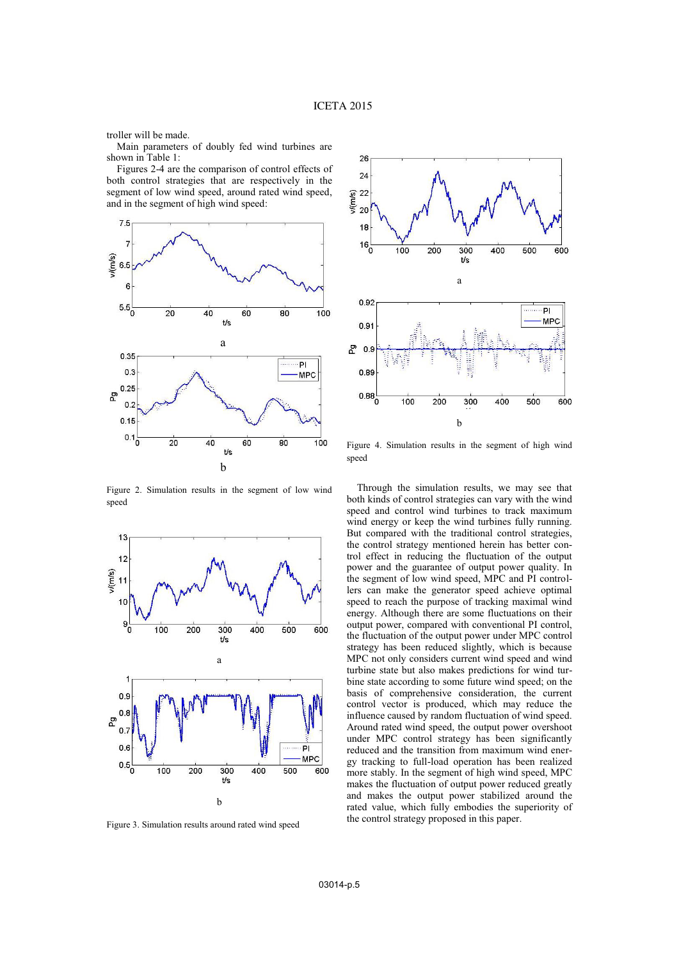troller will be made.

Main parameters of doubly fed wind turbines are shown in Table 1:

Figures 2-4 are the comparison of control effects of both control strategies that are respectively in the segment of low wind speed, around rated wind speed, and in the segment of high wind speed:



Figure 2. Simulation results in the segment of low wind speed



Figure 3. Simulation results around rated wind speed



Figure 4. Simulation results in the segment of high wind speed

Through the simulation results, we may see that both kinds of control strategies can vary with the wind speed and control wind turbines to track maximum wind energy or keep the wind turbines fully running. But compared with the traditional control strategies, the control strategy mentioned herein has better control effect in reducing the fluctuation of the output power and the guarantee of output power quality. In the segment of low wind speed, MPC and PI controllers can make the generator speed achieve optimal speed to reach the purpose of tracking maximal wind energy. Although there are some fluctuations on their output power, compared with conventional PI control, the fluctuation of the output power under MPC control strategy has been reduced slightly, which is because MPC not only considers current wind speed and wind turbine state but also makes predictions for wind turbine state according to some future wind speed; on the basis of comprehensive consideration, the current control vector is produced, which may reduce the influence caused by random fluctuation of wind speed. Around rated wind speed, the output power overshoot under MPC control strategy has been significantly reduced and the transition from maximum wind energy tracking to full-load operation has been realized more stably. In the segment of high wind speed, MPC makes the fluctuation of output power reduced greatly and makes the output power stabilized around the rated value, which fully embodies the superiority of the control strategy proposed in this paper.